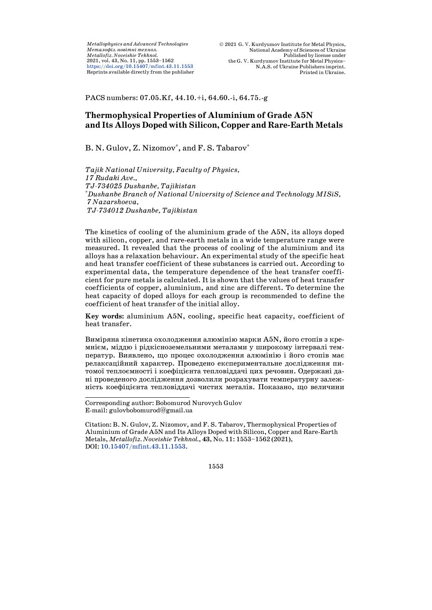*Metallophysics and Advanced Technologies Ìåòàëîôіç. íîâіòíі òåõíîë. Metallofiz. Noveishie Tekhnol.* 2021, vol. 43, No. 11, pp. 1553–1562 <https://doi.org/10.15407/mfint.43.11.1553> Reprints available directly from the publisher

PACS numbers: 07.05.Kf, 44.10.+i, 64.60.-i, 64.75.-g

# **Thermophysical Properties of Aluminium of Grade A5N and Its Alloys Doped with Silicon, Copper and Rare-Earth Metals**

## B. N. Gulov, Z. Nizomov\*, and F. S. Tabarov\*

*Tajik National University, Faculty of Physics, 17 Rudaki Ave., TJ-734025 Dushanbe, Tajikistan* \* *Dushanbe Branch of National University of Science and Technology MISiS, 7 Nazarshoeva, TJ-734012 Dushanbe, Tajikistan*

The kinetics of cooling of the aluminium grade of the A5N, its alloys doped with silicon, copper, and rare-earth metals in a wide temperature range were measured. It revealed that the process of cooling of the aluminium and its alloys has a relaxation behaviour. An experimental study of the specific heat and heat transfer coefficient of these substances is carried out. According to experimental data, the temperature dependence of the heat transfer coefficient for pure metals is calculated. It is shown that the values of heat transfer coefficients of copper, aluminium, and zinc are different. To determine the heat capacity of doped alloys for each group is recommended to define the coefficient of heat transfer of the initial alloy.

**Key words:** aluminium A5N, cooling, specific heat capacity, coefficient of heat transfer.

Виміряна кінетика охолодження алюмінію марки A5N, його стопів з кремнієм, міддю і рідкісноземельними металами у широкому інтервалі температур. Виявлено, що процес охолодження алюмінію і його стопів має релаксаційний характер. Проведено експериментальне дослідження питомої теплоємності і коефіцієнта тепловіддачі цих речовин. Одержані дані проведеного дослідження дозволили розрахувати температурну залежність коефіцієнта тепловіддачі чистих металів. Показано, що величини

1553

 Corresponding author: Bobomurod Nurovych Gulov E-mail: [gulovbobomurod@gmail.ua](mailto:gulovbobomurod@gmail.ua)

Citation: B. N. Gulov, Z. Nizomov, and F. S. Tabarov, Thermophysical Properties of Aluminium of Grade A5N and Its Alloys Doped with Silicon, Copper and Rare-Earth Metals, *Metallofiz. Noveishie Tekhnol.*, **43**, No. 11: 1553–1562 (2021), DOI: [10.15407/mfint.43.11.1553.](https://doi.org/10.15407/mfint.43.11.1553)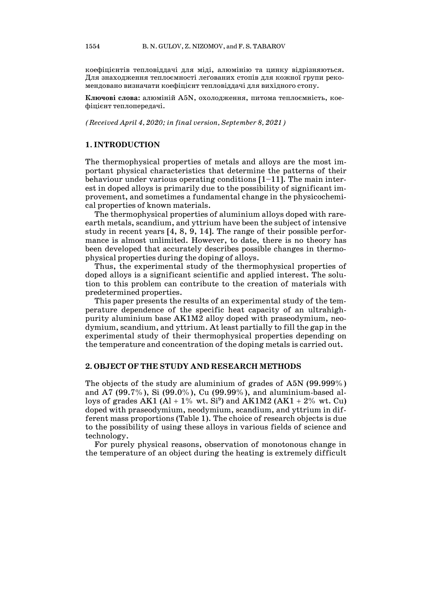коефіцієнтів тепловіддачі для міді, алюмінію та цинку відрізняються. Для знаходження теплоємності леґованих стопів для кожної групи рекомендовано визначати коефіцієнт тепловіддачі для вихідного стопу.

**Ключові слова:** алюміній А5N, охолодження, питома теплоємність, коефіцієнт теплопередачі.

*(Received April 4, 2020; in final version, September 8, 2021)*

#### **1. INTRODUCTION**

The thermophysical properties of metals and alloys are the most important physical characteristics that determine the patterns of their behaviour under various operating conditions  $[1-11]$ . The main interest in doped alloys is primarily due to the possibility of significant improvement, and sometimes a fundamental change in the physicochemical properties of known materials.

The thermophysical properties of aluminium alloys doped with rareearth metals, scandium, and yttrium have been the subject of intensive study in recent years [4, 8, 9, 14]. The range of their possible performance is almost unlimited. However, to date, there is no theory has been developed that accurately describes possible changes in thermophysical properties during the doping of alloys.

Thus, the experimental study of the thermophysical properties of doped alloys is a significant scientific and applied interest. The solution to this problem can contribute to the creation of materials with predetermined properties.

This paper presents the results of an experimental study of the temperature dependence of the specific heat capacity of an ultrahighpurity aluminium base AK1M2 alloy doped with praseodymium, neodymium, scandium, and yttrium. At least partially to fill the gap in the experimental study of their thermophysical properties depending on the temperature and concentration of the doping metals is carried out.

#### **2. OBJECT OF THE STUDY AND RESEARCH METHODS**

The objects of the study are aluminium of grades of A5N (99.999%) and A7 (99.7%), Si (99.0%), Cu (99.99%), and aluminium-based alloys of grades AK1 (Al + 1% wt.  $\mathrm{Si}^9$ ) and AK1M2 (AK1 + 2% wt. Cu) doped with praseodymium, neodymium, scandium, and yttrium in different mass proportions (Table 1). The choice of research objects is due to the possibility of using these alloys in various fields of science and technology.

For purely physical reasons, observation of monotonous change in the temperature of an object during the heating is extremely difficult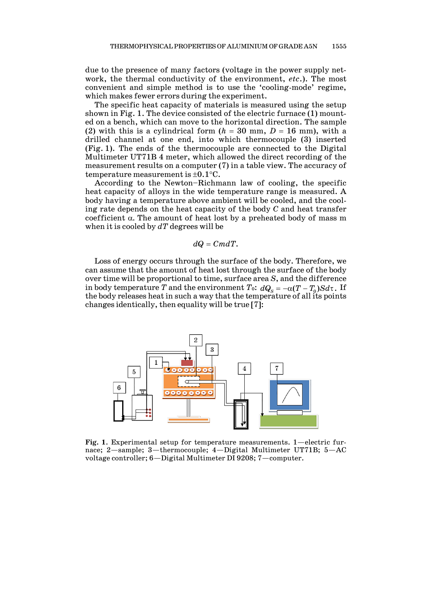due to the presence of many factors (voltage in the power supply network, the thermal conductivity of the environment, *etc*.). The most convenient and simple method is to use the 'cooling-mode' regime, which makes fewer errors during the experiment.

The specific heat capacity of materials is measured using the setup shown in Fig. 1. The device consisted of the electric furnace (1) mounted on a bench, which can move to the horizontal direction. The sample (2) with this is a cylindrical form  $(h = 30 \text{ mm}, D = 16 \text{ mm})$ , with a drilled channel at one end, into which thermocouple (3) inserted (Fig. 1). The ends of the thermocouple are connected to the Digital Multimeter UT71B 4 meter, which allowed the direct recording of the measurement results on a computer (7) in a table view. The accuracy of temperature measurement is  $\pm 0.1$  °C.

According to the Newton–Richmann law of cooling, the specific heat capacity of alloys in the wide temperature range is measured. A body having a temperature above ambient will be cooled, and the cooling rate depends on the heat capacity of the body *C* and heat transfer coefficient α*.* The amount of heat lost by a preheated body of mass m when it is cooled by *dT* degrees will be

$$
dQ = CmdT.
$$

Loss of energy occurs through the surface of the body. Therefore, we can assume that the amount of heat lost through the surface of the body over time will be proportional to time, surface area *S*, and the difference in body temperature *T* and the environment *T*<sub>0</sub>:  $dQ_s = -\alpha (T - T_0)S d\tau$ . If the body releases heat in such a way that the temperature of all its points changes identically, then equality will be true [7]:



**Fig. 1**. Experimental setup for temperature measurements. 1*—*electric furnace; 2*—*sample; 3*—*thermocouple; 4*—*Digital Multimeter UT71B; 5*—*AC voltage controller; 6*—*Digital Multimeter DI 9208; 7*—*computer.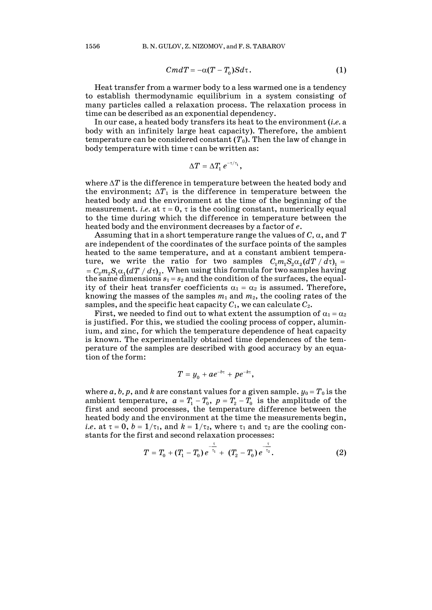$$
CmdT = -\alpha (T - T_0) Sd\tau.
$$
 (1)

Heat transfer from a warmer body to a less warmed one is a tendency to establish thermodynamic equilibrium in a system consisting of many particles called a relaxation process. The relaxation process in time can be described as an exponential dependency.

In our case, a heated body transfers its heat to the environment (*i.e.* a body with an infinitely large heat capacity). Therefore, the ambient temperature can be considered constant (*T*0). Then the law of change in body temperature with time  $\tau$  can be written as:

$$
\Delta T = \Delta T_1 e^{-\tau/\tau_1},
$$

where ∆*T* is the difference in temperature between the heated body and the environment;  $\Delta T_1$  is the difference in temperature between the heated body and the environment at the time of the beginning of the measurement. *i.e.* at  $\tau = 0$ ,  $\tau$  is the cooling constant, numerically equal to the time during which the difference in temperature between the heated body and the environment decreases by a factor of *e*.

Assuming that in a short temperature range the values of *C,* α, and *T* are independent of the coordinates of the surface points of the samples heated to the same temperature, and at a constant ambient temperature, we write the ratio for two samples  $C_1 m_1 S_2 \alpha_2 (dT / d\tau)$  =  $= C_2 m_2 S_1 \alpha_1 (dT / d\tau)_2$ . When using this formula for two samples having the same dimensions  $s_1 = s_2$  and the condition of the surfaces, the equality of their heat transfer coefficients  $\alpha_1 = \alpha_2$  is assumed. Therefore, knowing the masses of the samples  $m_1$  and  $m_2$ , the cooling rates of the samples, and the specific heat capacity  $C_1$ , we can calculate  $C_2$ .

First, we needed to find out to what extent the assumption of  $\alpha_1 = \alpha_2$ is justified. For this, we studied the cooling process of copper, aluminium, and zinc, for which the temperature dependence of heat capacity is known. The experimentally obtained time dependences of the temperature of the samples are described with good accuracy by an equation of the form:

$$
T=y_0+ae^{-b\tau}+pe^{-k\tau},
$$

where *a*, *b*, *p*, and *k* are constant values for a given sample.  $y_0 = T_0$  is the ambient temperature,  $a = T_1 - T_0$ ,  $p = T_2 - T_0$  is the amplitude of the first and second processes, the temperature difference between the heated body and the environment at the time the measurements begin, *i.e.* at  $\tau = 0$ ,  $b = 1/\tau_1$ , and  $k = 1/\tau_2$ , where  $\tau_1$  and  $\tau_2$  are the cooling constants for the first and second relaxation processes:

$$
T = T_0 + (T_1 - T_0) e^{-\frac{\tau}{\tau_1}} + (T_2 - T_0) e^{-\frac{\tau}{\tau_2}}.
$$
 (2)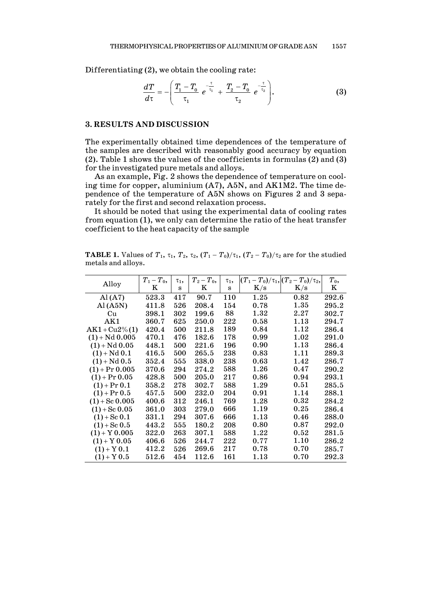Differentiating (2), we obtain the cooling rate:

$$
\frac{dT}{d\tau} = -\left(\frac{T_1 - T_0}{\tau_1} e^{-\frac{\tau}{\tau_1}} + \frac{T_2 - T_0}{\tau_2} e^{-\frac{\tau}{\tau_2}}\right).
$$
(3)

### **3. RESULTS AND DISCUSSION**

The experimentally obtained time dependences of the temperature of the samples are described with reasonably good accuracy by equation (2). Table 1 shows the values of the coefficients in formulas (2) and (3) for the investigated pure metals and alloys.

As an example, Fig. 2 shows the dependence of temperature on cooling time for copper, aluminium (A7), A5N, and AK1M2. The time dependence of the temperature of A5N shows on Figures 2 and 3 separately for the first and second relaxation process.

It should be noted that using the experimental data of cooling rates from equation (1), we only can determine the ratio of the heat transfer coefficient to the heat capacity of the sample

**TABLE 1.** Values of  $T_1$ ,  $\tau_1$ ,  $T_2$ ,  $\tau_2$ ,  $(T_1 - T_0)/\tau_1$ ,  $(T_2 - T_0)/\tau_2$  are for the studied metals and alloys.

| Alloy             | $T_{1}-T_{0},$ | $\tau_1$ , | $T_2-T_0$ , | $\tau_1$ , |           | $(T_1-T_0)/\tau_1$ , $(T_2-T_0)/\tau_2$ , | $T_0$ , |
|-------------------|----------------|------------|-------------|------------|-----------|-------------------------------------------|---------|
|                   | Κ              | s          | Κ           | s          | $\rm K/s$ | $\rm K/s$                                 | K       |
| $\rm Al\,(A7)$    | 523.3          | 417        | 90.7        | 110        | 1.25      | 0.82                                      | 292.6   |
| $\rm Al\,(A5N)$   | 411.8          | 526        | 208.4       | 154        | 0.78      | 1.35                                      | 295.2   |
| Cu                | 398.1          | 302        | 199.6       | 88         | 1.32      | 2.27                                      | 302.7   |
| AK1               | 360.7          | 625        | 250.0       | 222        | 0.58      | 1.13                                      | 294.7   |
| $AK1 + Cu2\% (1)$ | 420.4          | 500        | 211.8       | 189        | 0.84      | 1.12                                      | 286.4   |
| $(1) + Nd$ 0.005  | 470.1          | 476        | 182.6       | 178        | 0.99      | 1.02                                      | 291.0   |
| $(1) + Nd$ 0.05   | 448.1          | 500        | 221.6       | 196        | 0.90      | 1.13                                      | 286.4   |
| $(1) + Nd$ 0.1    | 416.5          | 500        | 265.5       | 238        | 0.83      | 1.11                                      | 289.3   |
| $(1) + Nd$ 0.5    | 352.4          | 555        | 338.0       | 238        | 0.63      | 1.42                                      | 286.7   |
| $(1) + Pr 0.005$  | 370.6          | 294        | 274.2       | 588        | 1.26      | 0.47                                      | 290.2   |
| $(1)$ + Pr 0.05   | 428.8          | 500        | 205.0       | 217        | 0.86      | 0.94                                      | 293.1   |
| $(1)$ + Pr 0.1    | 358.2          | 278        | 302.7       | 588        | 1.29      | 0.51                                      | 285.5   |
| $(1)$ + Pr 0.5    | 457.5          | 500        | 232.0       | 204        | 0.91      | 1.14                                      | 288.1   |
| $(1) +$ Sc 0.005  | 400.6          | 312        | 246.1       | 769        | 1.28      | $\rm 0.32$                                | 284.2   |
| $(1) +$ Sc 0.05   | 361.0          | 303        | 279.0       | 666        | 1.19      | 0.25                                      | 286.4   |
| $(1) +$ Sc 0.1    | 331.1          | 294        | 307.6       | 666        | 1.13      | 0.46                                      | 288.0   |
| $(1) +$ Sc 0.5    | 443.2          | 555        | 180.2       | 208        | 0.80      | 0.87                                      | 292.0   |
| $(1) + Y 0.005$   | 322.0          | 263        | 307.1       | 588        | 1.22      | 0.52                                      | 281.5   |
| $(1) + Y 0.05$    | 406.6          | 526        | 244.7       | 222        | 0.77      | 1.10                                      | 286.2   |
| $(1) + Y 0.1$     | 412.2          | 526        | 269.6       | 217        | 0.78      | 0.70                                      | 285.7   |
| $(1) + Y 0.5$     | ${512.6}$      | 454        | 112.6       | 161        | 1.13      | 0.70                                      | 292.3   |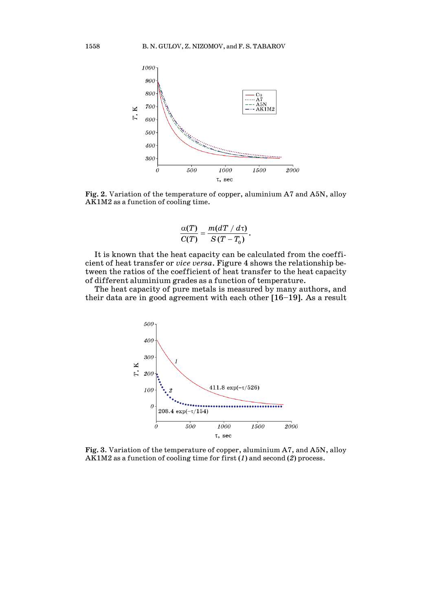

**Fig. 2**. Variation of the temperature of copper, aluminium A7 and A5N, alloy AK1M2 as a function of cooling time.

$$
\frac{\alpha(T)}{C(T)}=\frac{m(dT/d\tau)}{S(T-T_0)}.
$$

It is known that the heat capacity can be calculated from the coefficient of heat transfer or *vice versa*. Figure 4 shows the relationship between the ratios of the coefficient of heat transfer to the heat capacity of different aluminium grades as a function of temperature.

The heat capacity of pure metals is measured by many authors, and their data are in good agreement with each other [16–19]. As a result



**Fig. 3**. Variation of the temperature of copper, aluminium A7, and A5N, alloy AK1M2 as a function of cooling time for first (*1*) and second (*2*) process.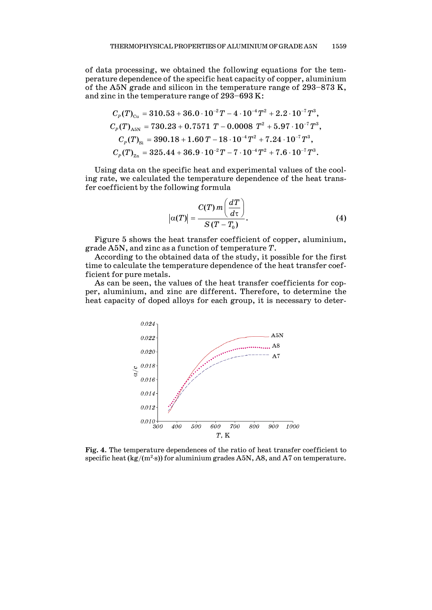of data processing, we obtained the following equations for the temperature dependence of the specific heat capacity of copper, aluminium of the A5N grade and silicon in the temperature range of 293–873 K, and zinc in the temperature range of 293–693 K:

$$
C_p(T)_{\text{Cu}} = 310.53 + 36.0 \cdot 10^{-2} T - 4 \cdot 10^{-4} T^2 + 2.2 \cdot 10^{-7} T^3,
$$
  
\n
$$
C_p(T)_{\text{AsN}} = 730.23 + 0.7571 T - 0.0008 T^2 + 5.97 \cdot 10^{-7} T^3,
$$
  
\n
$$
C_p(T)_{\text{Si}} = 390.18 + 1.60 T - 18 \cdot 10^{-4} T^2 + 7.24 \cdot 10^{-7} T^3,
$$
  
\n
$$
C_p(T)_{\text{Zn}} = 325.44 + 36.9 \cdot 10^{-2} T - 7 \cdot 10^{-4} T^2 + 7.6 \cdot 10^{-7} T^3.
$$

Using data on the specific heat and experimental values of the cooling rate, we calculated the temperature dependence of the heat transfer coefficient by the following formula

$$
\left|\alpha(T)\right| = \frac{C(T) m\left(\frac{dT}{d\tau}\right)}{S(T - T_0)}.
$$
\n(4)

Figure 5 shows the heat transfer coefficient of copper, aluminium, grade A5N, and zinc as a function of temperature *T*.

According to the obtained data of the study, it possible for the first time to calculate the temperature dependence of the heat transfer coefficient for pure metals.

As can be seen, the values of the heat transfer coefficients for copper, aluminium, and zinc are different. Therefore, to determine the heat capacity of doped alloys for each group, it is necessary to deter-



**Fig. 4**. The temperature dependences of the ratio of heat transfer coefficient to specific heat (kg/(m<sup>2.</sup>s)) for aluminium grades A5N, A8, and A7 on temperature.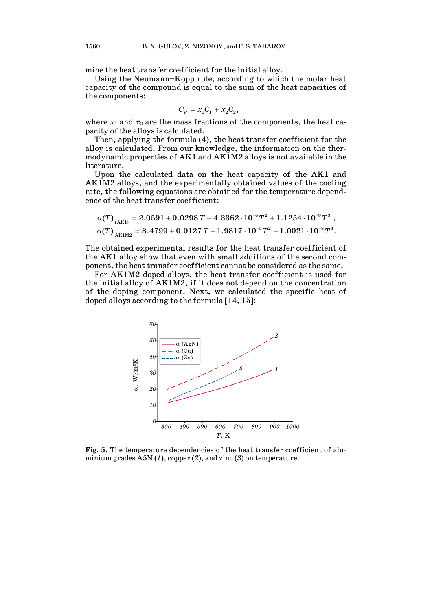mine the heat transfer coefficient for the initial alloy.

Using the Neumann–Kopp rule, according to which the molar heat capacity of the compound is equal to the sum of the heat capacities of the components:

$$
C_p = x_1 C_1 + x_2 C_2,
$$

where  $x_1$  and  $x_2$  are the mass fractions of the components, the heat capacity of the alloys is calculated.

Then, applying the formula (4), the heat transfer coefficient for the alloy is calculated. From our knowledge, the information on the thermodynamic properties of AK1 and AK1M2 alloys is not available in the literature.

Upon the calculated data on the heat capacity of the AK1 and AK1M2 alloys, and the experimentally obtained values of the cooling rate, the following equations are obtained for the temperature dependence of the heat transfer coefficient:

$$
\left|\alpha(T)\right|_{\text{(AK1)}}=2.0591+0.0298\,T-4.3362\cdot10^{-6}T^2+1.1254\cdot10^{-9}T^3\,\,,\\ \left|\alpha(T)\right|_{\text{AK1M2}}=8.4799+0.0127\,T+1.9817\cdot10^{-5}T^2-1.0021\cdot10^{-8}T^3.
$$

The obtained experimental results for the heat transfer coefficient of the AK1 alloy show that even with small additions of the second component, the heat transfer coefficient cannot be considered as the same.

For AK1M2 doped alloys, the heat transfer coefficient is used for the initial alloy of AK1M2, if it does not depend on the concentration of the doping component. Next, we calculated the specific heat of doped alloys according to the formula [14, 15]:



**Fig. 5**. The temperature dependencies of the heat transfer coefficient of aluminium grades A5N (*1*), copper (*2*), and zinc (*3*) on temperature.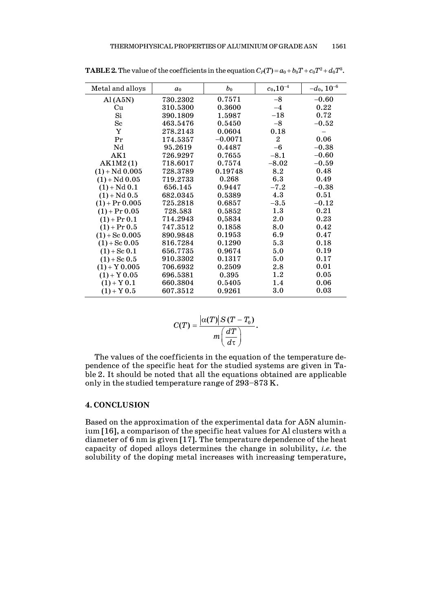| Metal and alloys | a <sub>0</sub> | $b_0$     | $c_0, 10^{-4}$ | $-d_0$ , $10^{-6}$        |
|------------------|----------------|-----------|----------------|---------------------------|
| AI(A5N)          | 730.2302       | 0.7571    | $-8$           | $-0.60$                   |
| Cu               | 310.5300       | 0.3600    | $-4$           | 0.22                      |
| Si               | 390.1809       | 1.5987    | $-18$          | 0.72                      |
| $_{\rm Sc}$      | 463.5476       | 0.5450    | $-8$           | $\textcolor{blue}{-0.52}$ |
| Y                | 278.2143       | 0.0604    | 0.18           |                           |
| Pr               | 174.5357       | $-0.0071$ | $\overline{2}$ | 0.06                      |
| Nd               | 95.2619        | 0.4487    | $-6$           | $-0.38$                   |
| AK1              | 726.9297       | 0.7655    | $-8.1$         | $-0.60$                   |
| AK1M2(1)         | 718.6017       | 0.7574    | $-8.02$        | $-0.59$                   |
| $(1) + Nd$ 0.005 | 728.3789       | 0.19748   | 8.2            | 0.48                      |
| $(1) + Nd$ 0.05  | 719.2733       | 0.268     | 6.3            | 0.49                      |
| $(1) + Nd 0.1$   | 656.145        | 0.9447    | $-7.2$         | $-0.38$                   |
| $(1) + Nd$ 0.5   | 682.0345       | 0.5389    | 4.3            | 0.51                      |
| $(1) + Pr 0.005$ | 725.2818       | 0.6857    | $-3.5$         | $-0.12$                   |
| $(1)$ + Pr 0.05  | 728.583        | 0.5852    | 1.3            | 0.21                      |
| $(1)$ + Pr 0.1   | 714.2943       | 0,5834    | 2.0            | 0.23                      |
| $(1) + Pr 0.5$   | 747.3512       | 0.1858    | 8.0            | 0.42                      |
| $(1) +$ Sc 0.005 | 890.9848       | 0.1953    | 6.9            | 0.47                      |
| $(1) +$ Sc 0.05  | 816.7284       | 0.1290    | 5.3            | 0.18                      |
| $(1) +$ Sc 0.1   | 656.7735       | 0.9674    | 5.0            | 0.19                      |
| $(1) +$ Sc 0.5   | 910.3302       | 0.1317    | 5.0            | 0.17                      |
| $(1) + Y 0.005$  | 706.6932       | 0.2509    | 2.8            | 0.01                      |
| $(1) + Y 0.05$   | 696.5381       | 0.395     | 1.2            | 0.05                      |
| $(1) + Y 0.1$    | 660.3804       | 0.5405    | 1.4            | 0.06                      |
| $(1) + Y 0.5$    | 607.3512       | 0.9261    | 3.0            | 0.03                      |

**TABLE 2.** The value of the coefficients in the equation  $C_P(T)$  =  $a_0 + b_0T + c_0T^2 + d_0T^3$ .

$$
C(T) = \frac{\left|\alpha(T)\right| S(T - T_0)}{m\left(\frac{dT}{d\tau}\right)}.
$$

The values of the coefficients in the equation of the temperature dependence of the specific heat for the studied systems are given in Table 2. It should be noted that all the equations obtained are applicable only in the studied temperature range of 293–873 K.

## **4. CONCLUSION**

Based on the approximation of the experimental data for A5N aluminium [16], a comparison of the specific heat values for Al clusters with a diameter of 6 nm is given [17]. The temperature dependence of the heat capacity of doped alloys determines the change in solubility, *i.e.* the solubility of the doping metal increases with increasing temperature,